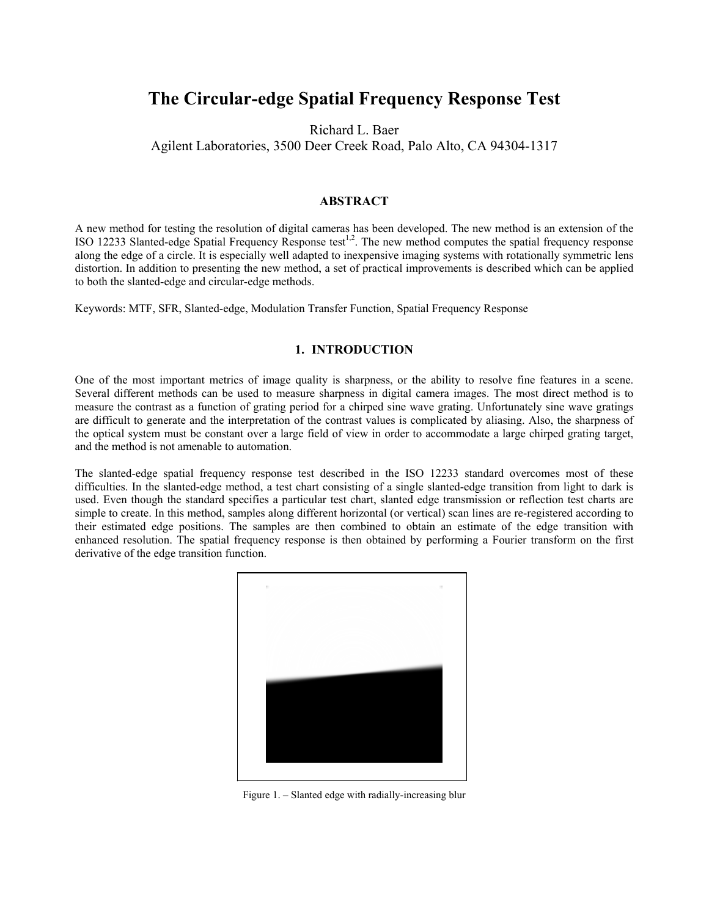# **The Circular-edge Spatial Frequency Response Test**

Richard L. Baer

Agilent Laboratories, 3500 Deer Creek Road, Palo Alto, CA 94304-1317

## **ABSTRACT**

A new method for testing the resolution of digital cameras has been developed. The new method is an extension of the ISO 12233 Slanted-edge Spatial Frequency Response test<sup>1,2</sup>. The new method computes the spatial frequency response along the edge of a circle. It is especially well adapted to inexpensive imaging systems with rotationally symmetric lens distortion. In addition to presenting the new method, a set of practical improvements is described which can be applied to both the slanted-edge and circular-edge methods.

Keywords: MTF, SFR, Slanted-edge, Modulation Transfer Function, Spatial Frequency Response

## **1. INTRODUCTION**

One of the most important metrics of image quality is sharpness, or the ability to resolve fine features in a scene. Several different methods can be used to measure sharpness in digital camera images. The most direct method is to measure the contrast as a function of grating period for a chirped sine wave grating. Unfortunately sine wave gratings are difficult to generate and the interpretation of the contrast values is complicated by aliasing. Also, the sharpness of the optical system must be constant over a large field of view in order to accommodate a large chirped grating target, and the method is not amenable to automation.

The slanted-edge spatial frequency response test described in the ISO 12233 standard overcomes most of these difficulties. In the slanted-edge method, a test chart consisting of a single slanted-edge transition from light to dark is used. Even though the standard specifies a particular test chart, slanted edge transmission or reflection test charts are simple to create. In this method, samples along different horizontal (or vertical) scan lines are re-registered according to their estimated edge positions. The samples are then combined to obtain an estimate of the edge transition with enhanced resolution. The spatial frequency response is then obtained by performing a Fourier transform on the first derivative of the edge transition function.



Figure 1. – Slanted edge with radially-increasing blur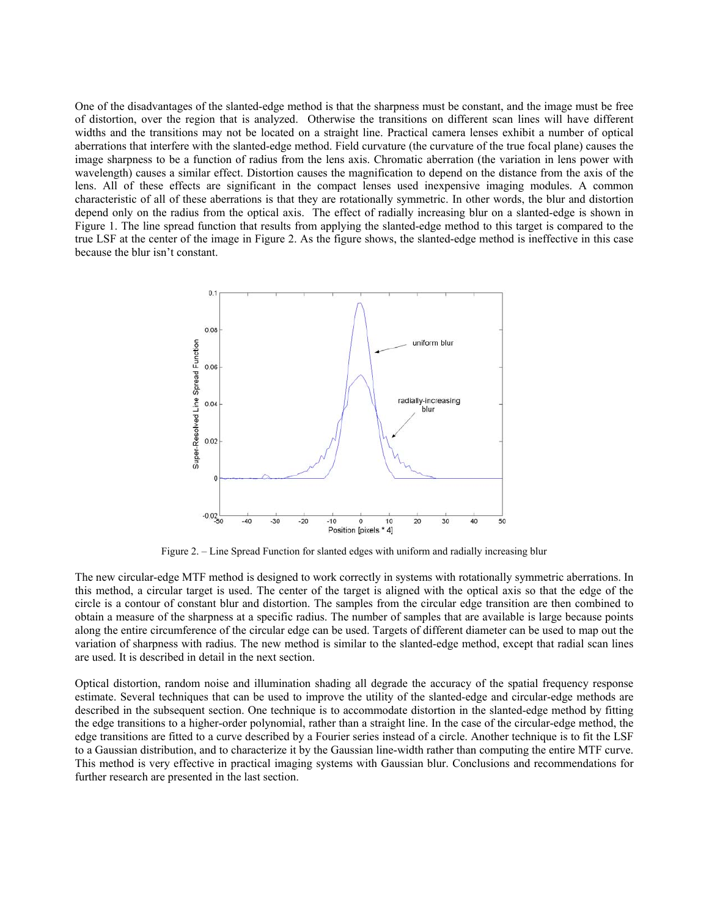One of the disadvantages of the slanted-edge method is that the sharpness must be constant, and the image must be free of distortion, over the region that is analyzed. Otherwise the transitions on different scan lines will have different widths and the transitions may not be located on a straight line. Practical camera lenses exhibit a number of optical aberrations that interfere with the slanted-edge method. Field curvature (the curvature of the true focal plane) causes the image sharpness to be a function of radius from the lens axis. Chromatic aberration (the variation in lens power with wavelength) causes a similar effect. Distortion causes the magnification to depend on the distance from the axis of the lens. All of these effects are significant in the compact lenses used inexpensive imaging modules. A common characteristic of all of these aberrations is that they are rotationally symmetric. In other words, the blur and distortion depend only on the radius from the optical axis. The effect of radially increasing blur on a slanted-edge is shown in Figure 1. The line spread function that results from applying the slanted-edge method to this target is compared to the true LSF at the center of the image in Figure 2. As the figure shows, the slanted-edge method is ineffective in this case because the blur isn't constant.



Figure 2. – Line Spread Function for slanted edges with uniform and radially increasing blur

The new circular-edge MTF method is designed to work correctly in systems with rotationally symmetric aberrations. In this method, a circular target is used. The center of the target is aligned with the optical axis so that the edge of the circle is a contour of constant blur and distortion. The samples from the circular edge transition are then combined to obtain a measure of the sharpness at a specific radius. The number of samples that are available is large because points along the entire circumference of the circular edge can be used. Targets of different diameter can be used to map out the variation of sharpness with radius. The new method is similar to the slanted-edge method, except that radial scan lines are used. It is described in detail in the next section.

Optical distortion, random noise and illumination shading all degrade the accuracy of the spatial frequency response estimate. Several techniques that can be used to improve the utility of the slanted-edge and circular-edge methods are described in the subsequent section. One technique is to accommodate distortion in the slanted-edge method by fitting the edge transitions to a higher-order polynomial, rather than a straight line. In the case of the circular-edge method, the edge transitions are fitted to a curve described by a Fourier series instead of a circle. Another technique is to fit the LSF to a Gaussian distribution, and to characterize it by the Gaussian line-width rather than computing the entire MTF curve. This method is very effective in practical imaging systems with Gaussian blur. Conclusions and recommendations for further research are presented in the last section.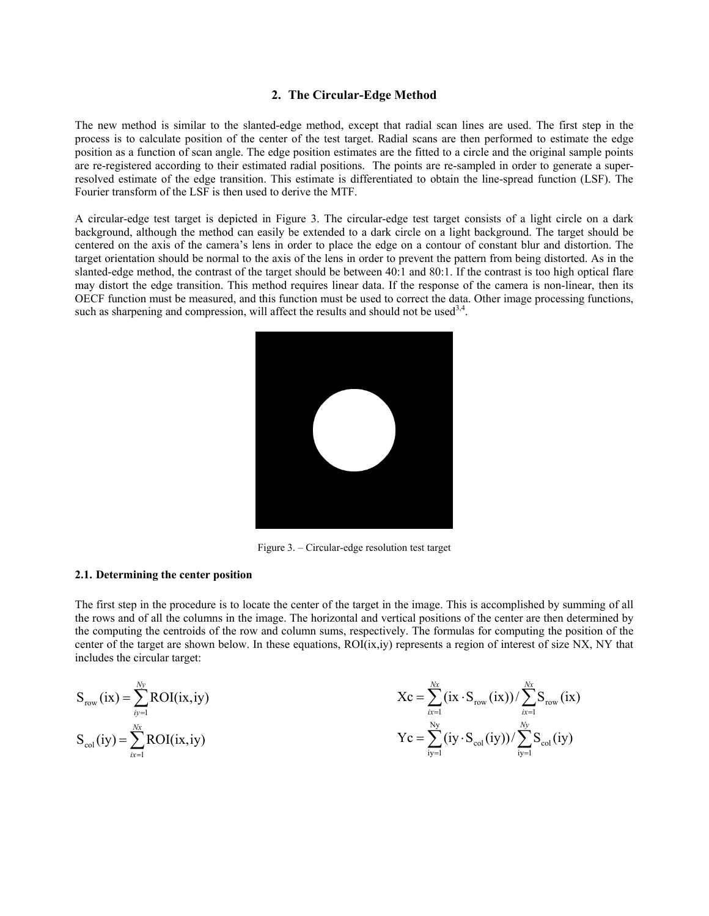### **2. The Circular-Edge Method**

The new method is similar to the slanted-edge method, except that radial scan lines are used. The first step in the process is to calculate position of the center of the test target. Radial scans are then performed to estimate the edge position as a function of scan angle. The edge position estimates are the fitted to a circle and the original sample points are re-registered according to their estimated radial positions. The points are re-sampled in order to generate a superresolved estimate of the edge transition. This estimate is differentiated to obtain the line-spread function (LSF). The Fourier transform of the LSF is then used to derive the MTF.

A circular-edge test target is depicted in Figure 3. The circular-edge test target consists of a light circle on a dark background, although the method can easily be extended to a dark circle on a light background. The target should be centered on the axis of the camera's lens in order to place the edge on a contour of constant blur and distortion. The target orientation should be normal to the axis of the lens in order to prevent the pattern from being distorted. As in the slanted-edge method, the contrast of the target should be between 40:1 and 80:1. If the contrast is too high optical flare may distort the edge transition. This method requires linear data. If the response of the camera is non-linear, then its OECF function must be measured, and this function must be used to correct the data. Other image processing functions, such as sharpening and compression, will affect the results and should not be used<sup>3,4</sup>.



Figure 3. – Circular-edge resolution test target

#### **2.1. Determining the center position**

The first step in the procedure is to locate the center of the target in the image. This is accomplished by summing of all the rows and of all the columns in the image. The horizontal and vertical positions of the center are then determined by the computing the centroids of the row and column sums, respectively. The formulas for computing the position of the center of the target are shown below. In these equations,  $ROI(ix,iy)$  represents a region of interest of size NX, NY that includes the circular target:

$$
S_{row}(ix) = \sum_{iy=1}^{Ny} ROI(ix, iy)
$$
  
\n
$$
S_{col}(iy) = \sum_{ix=1}^{Nx} ROI(ix, iy)
$$
  
\n
$$
S_{col}(iy) = \sum_{ix=1}^{Nx} ROI(ix, iy)
$$
  
\n
$$
Yc = \sum_{iy=1}^{Ny} (iy \cdot S_{col}(iy)) / \sum_{iy=1}^{Ny} S_{col}(iy)
$$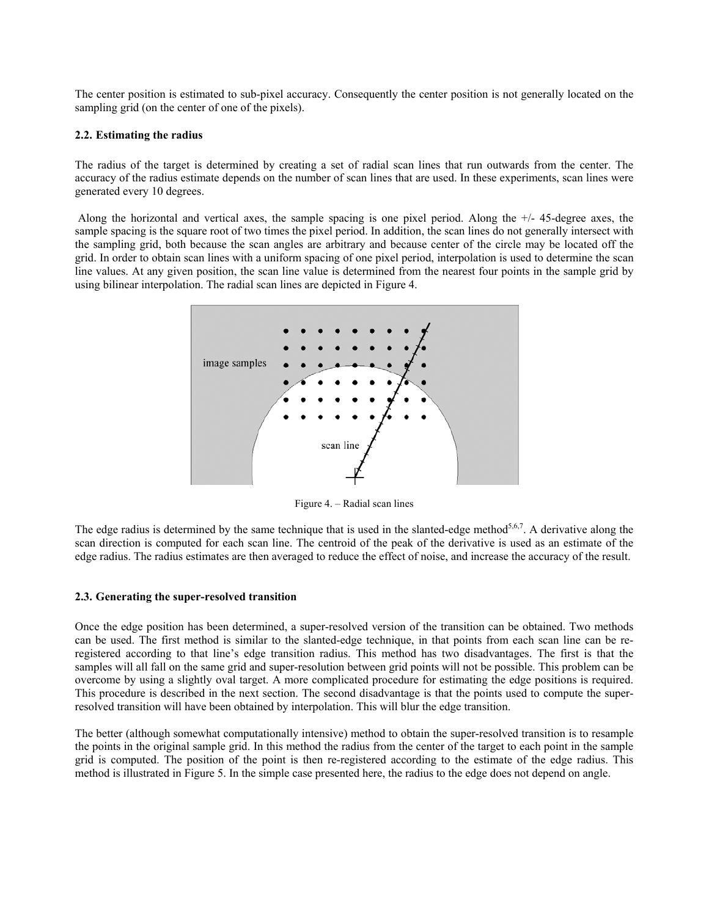The center position is estimated to sub-pixel accuracy. Consequently the center position is not generally located on the sampling grid (on the center of one of the pixels).

## **2.2. Estimating the radius**

The radius of the target is determined by creating a set of radial scan lines that run outwards from the center. The accuracy of the radius estimate depends on the number of scan lines that are used. In these experiments, scan lines were generated every 10 degrees.

 Along the horizontal and vertical axes, the sample spacing is one pixel period. Along the +/- 45-degree axes, the sample spacing is the square root of two times the pixel period. In addition, the scan lines do not generally intersect with the sampling grid, both because the scan angles are arbitrary and because center of the circle may be located off the grid. In order to obtain scan lines with a uniform spacing of one pixel period, interpolation is used to determine the scan line values. At any given position, the scan line value is determined from the nearest four points in the sample grid by using bilinear interpolation. The radial scan lines are depicted in Figure 4.



Figure 4. – Radial scan lines

The edge radius is determined by the same technique that is used in the slanted-edge method<sup>5,6,7</sup>. A derivative along the scan direction is computed for each scan line. The centroid of the peak of the derivative is used as an estimate of the edge radius. The radius estimates are then averaged to reduce the effect of noise, and increase the accuracy of the result.

#### **2.3. Generating the super-resolved transition**

Once the edge position has been determined, a super-resolved version of the transition can be obtained. Two methods can be used. The first method is similar to the slanted-edge technique, in that points from each scan line can be reregistered according to that line's edge transition radius. This method has two disadvantages. The first is that the samples will all fall on the same grid and super-resolution between grid points will not be possible. This problem can be overcome by using a slightly oval target. A more complicated procedure for estimating the edge positions is required. This procedure is described in the next section. The second disadvantage is that the points used to compute the superresolved transition will have been obtained by interpolation. This will blur the edge transition.

The better (although somewhat computationally intensive) method to obtain the super-resolved transition is to resample the points in the original sample grid. In this method the radius from the center of the target to each point in the sample grid is computed. The position of the point is then re-registered according to the estimate of the edge radius. This method is illustrated in Figure 5. In the simple case presented here, the radius to the edge does not depend on angle.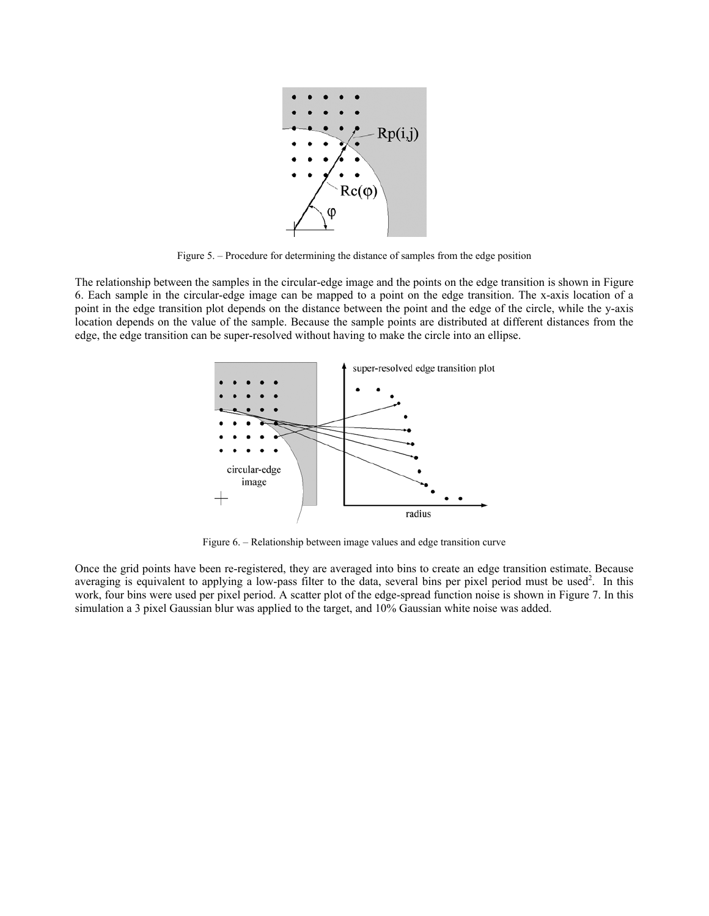

Figure 5. – Procedure for determining the distance of samples from the edge position

The relationship between the samples in the circular-edge image and the points on the edge transition is shown in Figure 6. Each sample in the circular-edge image can be mapped to a point on the edge transition. The x-axis location of a point in the edge transition plot depends on the distance between the point and the edge of the circle, while the y-axis location depends on the value of the sample. Because the sample points are distributed at different distances from the edge, the edge transition can be super-resolved without having to make the circle into an ellipse.



Figure 6. – Relationship between image values and edge transition curve

Once the grid points have been re-registered, they are averaged into bins to create an edge transition estimate. Because averaging is equivalent to applying a low-pass filter to the data, several bins per pixel period must be used<sup>2</sup>. In this work, four bins were used per pixel period. A scatter plot of the edge-spread function noise is shown in Figure 7. In this simulation a 3 pixel Gaussian blur was applied to the target, and 10% Gaussian white noise was added.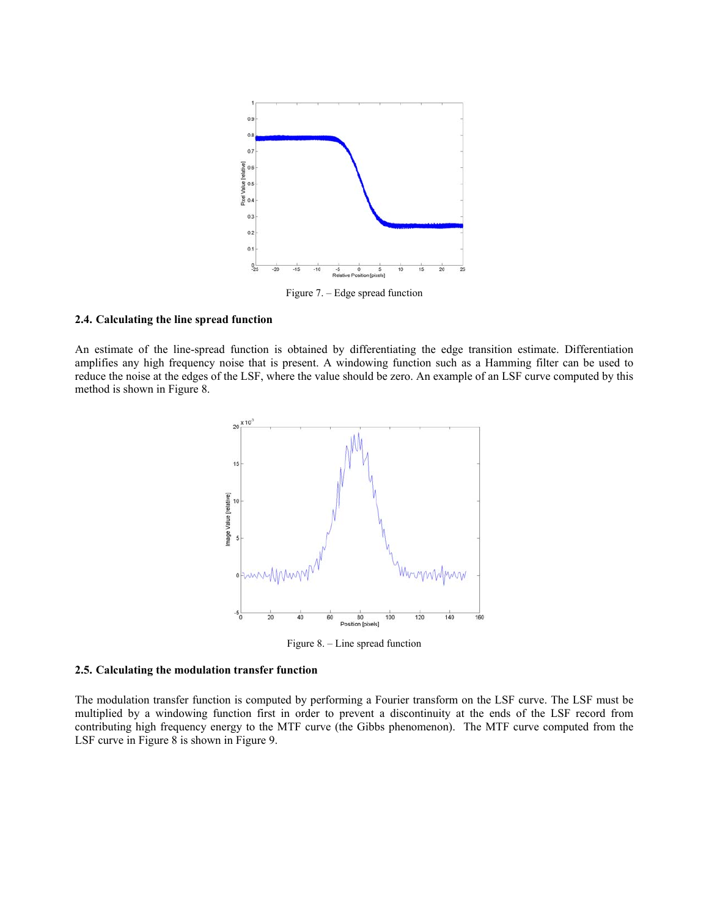

#### **2.4. Calculating the line spread function**

An estimate of the line-spread function is obtained by differentiating the edge transition estimate. Differentiation amplifies any high frequency noise that is present. A windowing function such as a Hamming filter can be used to reduce the noise at the edges of the LSF, where the value should be zero. An example of an LSF curve computed by this method is shown in Figure 8.



Figure 8. – Line spread function

### **2.5. Calculating the modulation transfer function**

The modulation transfer function is computed by performing a Fourier transform on the LSF curve. The LSF must be multiplied by a windowing function first in order to prevent a discontinuity at the ends of the LSF record from contributing high frequency energy to the MTF curve (the Gibbs phenomenon). The MTF curve computed from the LSF curve in Figure 8 is shown in Figure 9.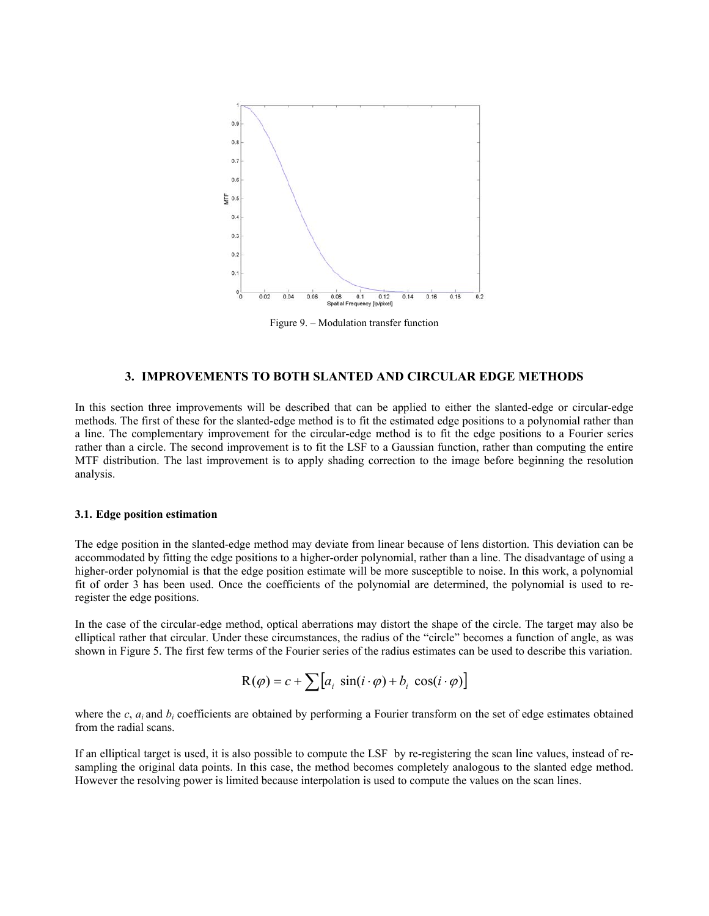

Figure 9. – Modulation transfer function

## **3. IMPROVEMENTS TO BOTH SLANTED AND CIRCULAR EDGE METHODS**

In this section three improvements will be described that can be applied to either the slanted-edge or circular-edge methods. The first of these for the slanted-edge method is to fit the estimated edge positions to a polynomial rather than a line. The complementary improvement for the circular-edge method is to fit the edge positions to a Fourier series rather than a circle. The second improvement is to fit the LSF to a Gaussian function, rather than computing the entire MTF distribution. The last improvement is to apply shading correction to the image before beginning the resolution analysis.

#### **3.1. Edge position estimation**

The edge position in the slanted-edge method may deviate from linear because of lens distortion. This deviation can be accommodated by fitting the edge positions to a higher-order polynomial, rather than a line. The disadvantage of using a higher-order polynomial is that the edge position estimate will be more susceptible to noise. In this work, a polynomial fit of order 3 has been used. Once the coefficients of the polynomial are determined, the polynomial is used to reregister the edge positions.

In the case of the circular-edge method, optical aberrations may distort the shape of the circle. The target may also be elliptical rather that circular. Under these circumstances, the radius of the "circle" becomes a function of angle, as was shown in Figure 5. The first few terms of the Fourier series of the radius estimates can be used to describe this variation.

$$
R(\varphi) = c + \sum [a_i \sin(i \cdot \varphi) + b_i \cos(i \cdot \varphi)]
$$

where the  $c$ ,  $a_i$  and  $b_i$  coefficients are obtained by performing a Fourier transform on the set of edge estimates obtained from the radial scans.

If an elliptical target is used, it is also possible to compute the LSF by re-registering the scan line values, instead of resampling the original data points. In this case, the method becomes completely analogous to the slanted edge method. However the resolving power is limited because interpolation is used to compute the values on the scan lines.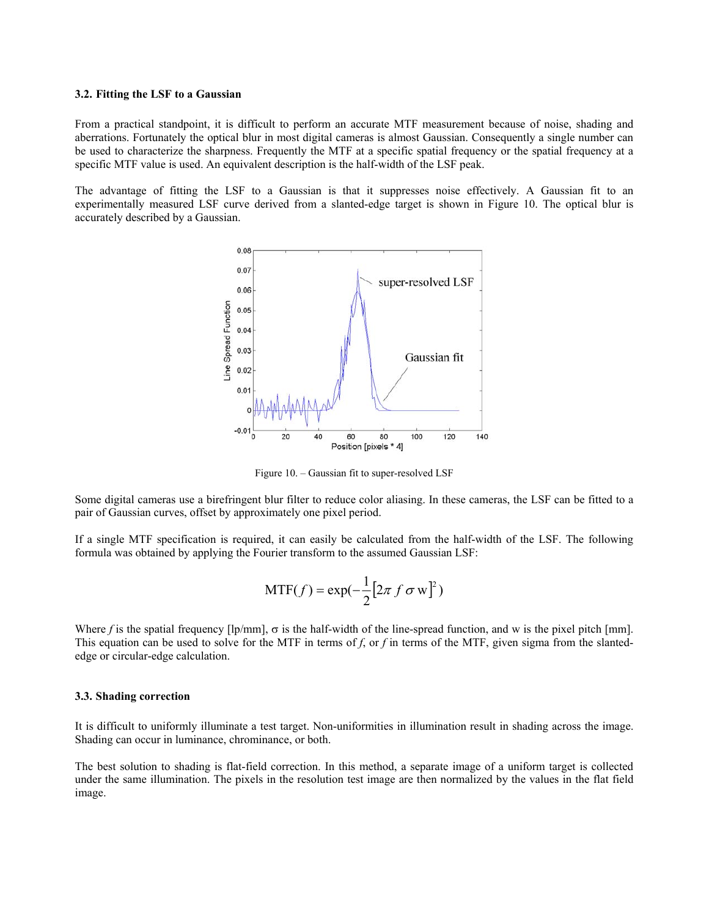#### **3.2. Fitting the LSF to a Gaussian**

From a practical standpoint, it is difficult to perform an accurate MTF measurement because of noise, shading and aberrations. Fortunately the optical blur in most digital cameras is almost Gaussian. Consequently a single number can be used to characterize the sharpness. Frequently the MTF at a specific spatial frequency or the spatial frequency at a specific MTF value is used. An equivalent description is the half-width of the LSF peak.

The advantage of fitting the LSF to a Gaussian is that it suppresses noise effectively. A Gaussian fit to an experimentally measured LSF curve derived from a slanted-edge target is shown in Figure 10. The optical blur is accurately described by a Gaussian.



Figure 10. – Gaussian fit to super-resolved LSF

Some digital cameras use a birefringent blur filter to reduce color aliasing. In these cameras, the LSF can be fitted to a pair of Gaussian curves, offset by approximately one pixel period.

If a single MTF specification is required, it can easily be calculated from the half-width of the LSF. The following formula was obtained by applying the Fourier transform to the assumed Gaussian LSF:

$$
MTF(f) = \exp(-\frac{1}{2}[2\pi f \sigma w]^2)
$$

Where *f* is the spatial frequency  $[lp/mm]$ ,  $\sigma$  is the half-width of the line-spread function, and w is the pixel pitch  $[mm]$ . This equation can be used to solve for the MTF in terms of *f*, or *f* in terms of the MTF, given sigma from the slantededge or circular-edge calculation.

#### **3.3. Shading correction**

It is difficult to uniformly illuminate a test target. Non-uniformities in illumination result in shading across the image. Shading can occur in luminance, chrominance, or both.

The best solution to shading is flat-field correction. In this method, a separate image of a uniform target is collected under the same illumination. The pixels in the resolution test image are then normalized by the values in the flat field image.